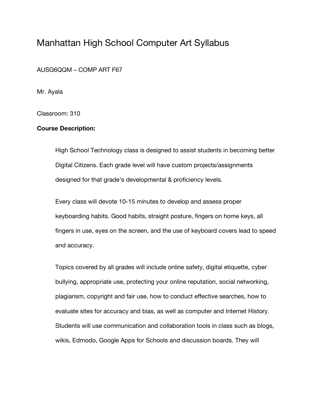# Manhattan High School Computer Art Syllabus

AUSG6QQM – COMP ART F67

Mr. Ayala

Classroom: 310

### **Course Description:**

High School Technology class is designed to assist students in becoming better Digital Citizens. Each grade level will have custom projects/assignments designed for that grade's developmental & proficiency levels.

Every class will devote 10-15 minutes to develop and assess proper keyboarding habits. Good habits, straight posture, fingers on home keys, all fingers in use, eyes on the screen, and the use of keyboard covers lead to speed and accuracy.

Topics covered by all grades will include online safety, digital etiquette, cyber bullying, appropriate use, protecting your online reputation, social networking, plagiarism, copyright and fair use, how to conduct effective searches, how to evaluate sites for accuracy and bias, as well as computer and Internet History. Students will use communication and collaboration tools in class such as blogs, wikis, Edmodo, Google Apps for Schools and discussion boards. They will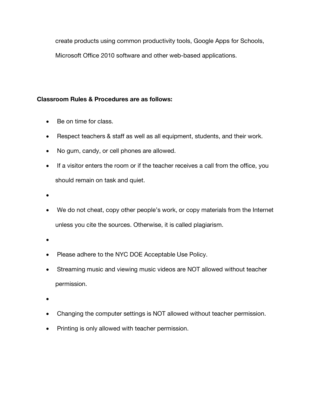create products using common productivity tools, Google Apps for Schools, Microsoft Office 2010 software and other web-based applications.

## **Classroom Rules & Procedures are as follows:**

- Be on time for class.
- Respect teachers & staff as well as all equipment, students, and their work.
- No gum, candy, or cell phones are allowed.
- If a visitor enters the room or if the teacher receives a call from the office, you should remain on task and quiet.
- •
- We do not cheat, copy other people's work, or copy materials from the Internet unless you cite the sources. Otherwise, it is called plagiarism.
- •
- Please adhere to the NYC DOE Acceptable Use Policy.
- Streaming music and viewing music videos are NOT allowed without teacher permission.
- •
- Changing the computer settings is NOT allowed without teacher permission.
- Printing is only allowed with teacher permission.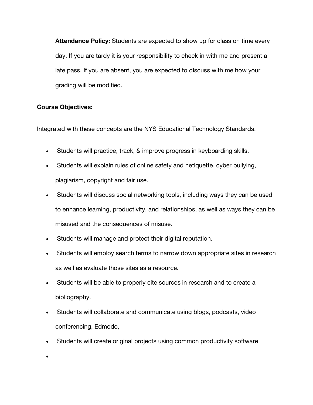**Attendance Policy:** Students are expected to show up for class on time every day. If you are tardy it is your responsibility to check in with me and present a late pass. If you are absent, you are expected to discuss with me how your grading will be modified.

### **Course Objectives:**

Integrated with these concepts are the NYS Educational Technology Standards.

- Students will practice, track, & improve progress in keyboarding skills.
- Students will explain rules of online safety and netiquette, cyber bullying, plagiarism, copyright and fair use.
- Students will discuss social networking tools, including ways they can be used to enhance learning, productivity, and relationships, as well as ways they can be misused and the consequences of misuse.
- Students will manage and protect their digital reputation.
- Students will employ search terms to narrow down appropriate sites in research as well as evaluate those sites as a resource.
- Students will be able to properly cite sources in research and to create a bibliography.
- Students will collaborate and communicate using blogs, podcasts, video conferencing, Edmodo,
- Students will create original projects using common productivity software

•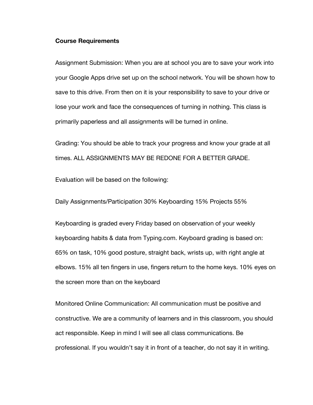#### **Course Requirements**

Assignment Submission: When you are at school you are to save your work into your Google Apps drive set up on the school network. You will be shown how to save to this drive. From then on it is your responsibility to save to your drive or lose your work and face the consequences of turning in nothing. This class is primarily paperless and all assignments will be turned in online.

Grading: You should be able to track your progress and know your grade at all times. ALL ASSIGNMENTS MAY BE REDONE FOR A BETTER GRADE.

Evaluation will be based on the following:

Daily Assignments/Participation 30% Keyboarding 15% Projects 55%

Keyboarding is graded every Friday based on observation of your weekly keyboarding habits & data from Typing.com. Keyboard grading is based on: 65% on task, 10% good posture, straight back, wrists up, with right angle at elbows. 15% all ten fingers in use, fingers return to the home keys. 10% eyes on the screen more than on the keyboard

Monitored Online Communication: All communication must be positive and constructive. We are a community of learners and in this classroom, you should act responsible. Keep in mind I will see all class communications. Be professional. If you wouldn't say it in front of a teacher, do not say it in writing.